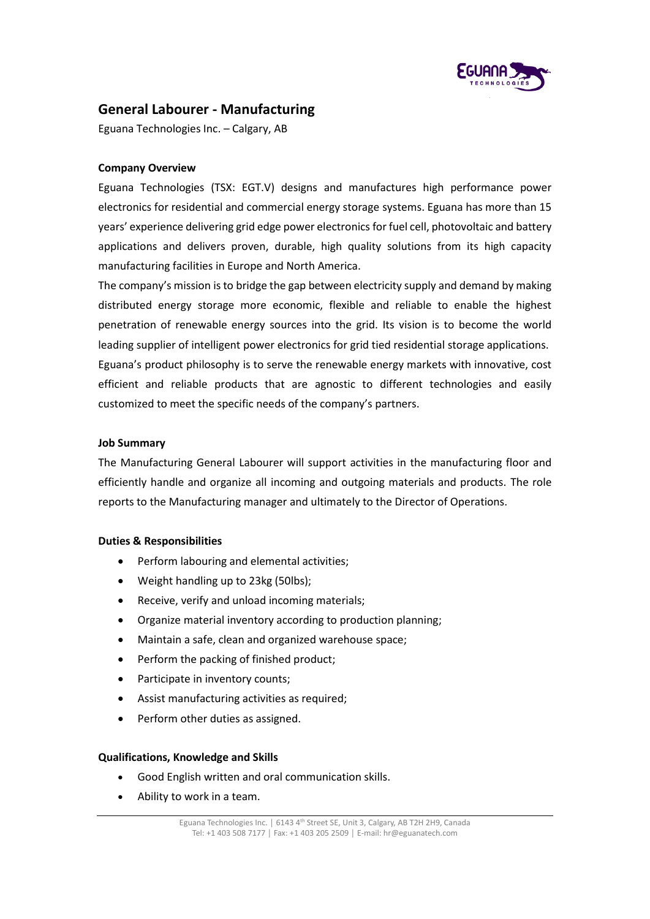

# **General Labourer - Manufacturing**

Eguana Technologies Inc. – Calgary, AB

## **Company Overview**

Eguana Technologies (TSX: EGT.V) designs and manufactures high performance power electronics for residential and commercial energy storage systems. Eguana has more than 15 years' experience delivering grid edge power electronics for fuel cell, photovoltaic and battery applications and delivers proven, durable, high quality solutions from its high capacity manufacturing facilities in Europe and North America.

The company's mission is to bridge the gap between electricity supply and demand by making distributed energy storage more economic, flexible and reliable to enable the highest penetration of renewable energy sources into the grid. Its vision is to become the world leading supplier of intelligent power electronics for grid tied residential storage applications. Eguana's product philosophy is to serve the renewable energy markets with innovative, cost efficient and reliable products that are agnostic to different technologies and easily customized to meet the specific needs of the company's partners.

### **Job Summary**

The Manufacturing General Labourer will support activities in the manufacturing floor and efficiently handle and organize all incoming and outgoing materials and products. The role reports to the Manufacturing manager and ultimately to the Director of Operations.

### **Duties & Responsibilities**

- Perform labouring and elemental activities;
- Weight handling up to 23kg (50lbs);
- Receive, verify and unload incoming materials;
- Organize material inventory according to production planning;
- Maintain a safe, clean and organized warehouse space;
- Perform the packing of finished product;
- Participate in inventory counts;
- Assist manufacturing activities as required;
- Perform other duties as assigned.

### **Qualifications, Knowledge and Skills**

- Good English written and oral communication skills.
- Ability to work in a team.